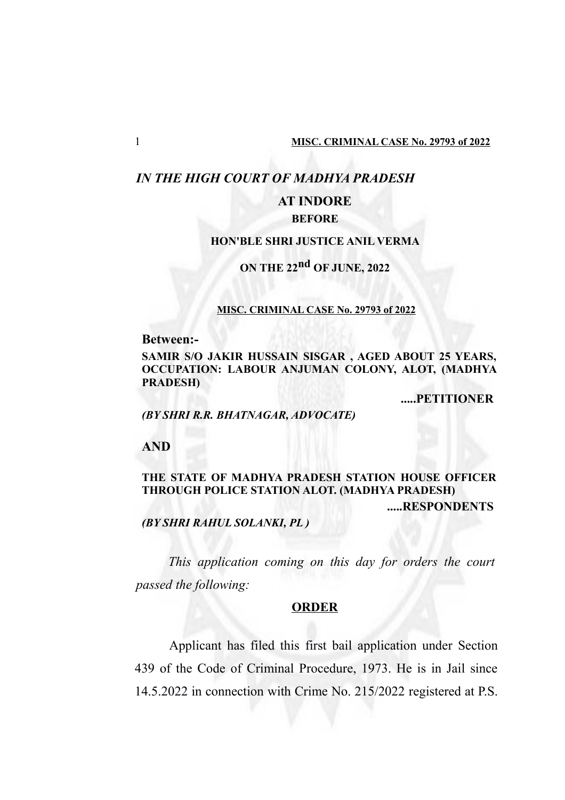## *IN THE HIGH COURT OF MADHYA PRADESH*

# **AT INDORE**

## **BEFORE**

### **HON'BLE SHRI JUSTICE ANIL VERMA**

# **ON THE 22nd OF JUNE, 2022**

#### **MISC. CRIMINAL CASE No. 29793 of 2022**

**Between:-**

**SAMIR S/O JAKIR HUSSAIN SISGAR , AGED ABOUT 25 YEARS, OCCUPATION: LABOUR ANJUMAN COLONY, ALOT, (MADHYA PRADESH)**

**.....PETITIONER**

*(BY SHRI R.R. BHATNAGAR, ADVOCATE)*

**AND**

## **THE STATE OF MADHYA PRADESH STATION HOUSE OFFICER THROUGH POLICE STATION ALOT. (MADHYA PRADESH) .....RESPONDENTS**

*(BY SHRI RAHUL SOLANKI, PL )*

*This application coming on this day for orders the court passed the following:*

#### **ORDER**

Applicant has filed this first bail application under Section 439 of the Code of Criminal Procedure, 1973. He is in Jail since 14.5.2022 in connection with Crime No. 215/2022 registered at P.S.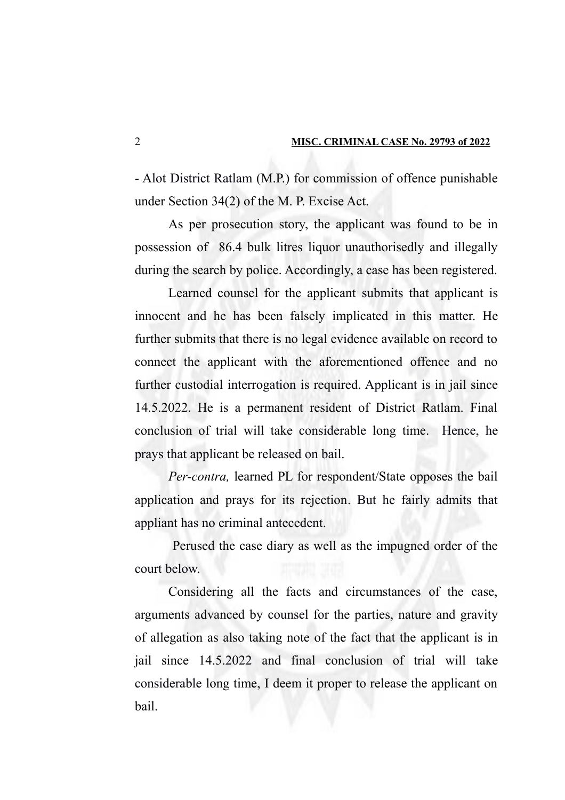- Alot District Ratlam (M.P.) for commission of offence punishable under Section 34(2) of the M. P. Excise Act.

As per prosecution story, the applicant was found to be in possession of 86.4 bulk litres liquor unauthorisedly and illegally during the search by police. Accordingly, a case has been registered.

Learned counsel for the applicant submits that applicant is innocent and he has been falsely implicated in this matter. He further submits that there is no legal evidence available on record to connect the applicant with the aforementioned offence and no further custodial interrogation is required. Applicant is in jail since 14.5.2022. He is a permanent resident of District Ratlam. Final conclusion of trial will take considerable long time. Hence, he prays that applicant be released on bail.

*Per-contra,* learned PL for respondent/State opposes the bail application and prays for its rejection. But he fairly admits that appliant has no criminal antecedent.

 Perused the case diary as well as the impugned order of the court below.

Considering all the facts and circumstances of the case, arguments advanced by counsel for the parties, nature and gravity of allegation as also taking note of the fact that the applicant is in jail since 14.5.2022 and final conclusion of trial will take considerable long time, I deem it proper to release the applicant on bail.